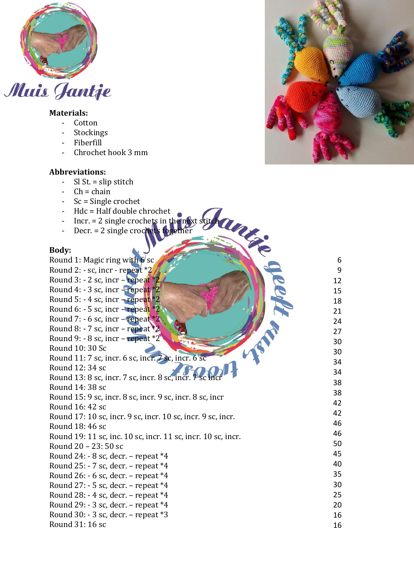

# **Materials:**

- Cotton
- Stockings
- Fiberfill
- Chrochet hook 3 mm

### **Abbreviations:**

- Sl St. = slip stitch
- $-\text{ Ch} = \text{chain}$
- Sc = Single crochet
- Hdc = Half double chrochet
- Incr. = 2 single crochets in the next stitch
- Decr. = 2 single crochets together

#### **Body:**

| Body:                                                        |                |
|--------------------------------------------------------------|----------------|
| Round 1: Magic ring with 6 sc                                | 6              |
| Round 2: - sc, incr - repeat *2                              | $\overline{9}$ |
| Round 3:  - 2 sc, incr – repeat *2.                          | 12             |
| Round 4: - 3 sc, incr - repeat *2                            | 15             |
| Round 5: - 4 sc, incr + repeat *2                            | 18             |
| Round 6: - 5 sc, incr – repeat *2                            | 21             |
| Round 7: $-6$ sc, incr $-$ repeat $*2$                       | 24             |
| Round 8: - 7 sc, incr – repeat $*2$                          | 27             |
| Round 9: - 8 sc, incr - repeat *2"                           | 30             |
| Round 10: 30 Sc                                              | 30             |
| Round 11: 7 sc, incr. 6 sc, incr. 7 sc, incr. 6 sc           | 34             |
| Round 12: 34 sc                                              | 34             |
| Round 13: 8 sc, incr. 7 sc, incr. 8 sc, incr. 7 sc inci      | 38             |
| Round 14: 38 sc                                              | 38             |
| Round 15: 9 sc, incr. 8 sc, incr. 9 sc, incr. 8 sc, incr     | 42             |
| Round 16: 42 sc                                              |                |
| Round 17: 10 sc, incr. 9 sc, incr. 10 sc, incr. 9 sc, incr.  | 42             |
| Round 18: 46 sc                                              | 46             |
| Round 19: 11 sc, inc. 10 sc, incr. 11 sc, incr. 10 sc, incr. | 46             |
| Round 20 - 23: 50 sc                                         | 50             |
| Round 24: - 8 sc, decr. – repeat *4                          | 45             |
| Round 25: - 7 sc, decr. - repeat *4                          | 40             |
| Round 26: $-6$ sc, decr. $-$ repeat $*4$                     | 35             |
| Round $27: -5$ sc, decr. - repeat $*4$                       | 30             |
| Round 28: - 4 sc, decr. – repeat *4                          | 25             |
| Round 29: $-3$ sc, decr. $-$ repeat $*4$                     | 20             |
| Round 30: - 3 sc, decr. - repeat *3                          | 16             |
| Round 31: 16 sc                                              | 16             |